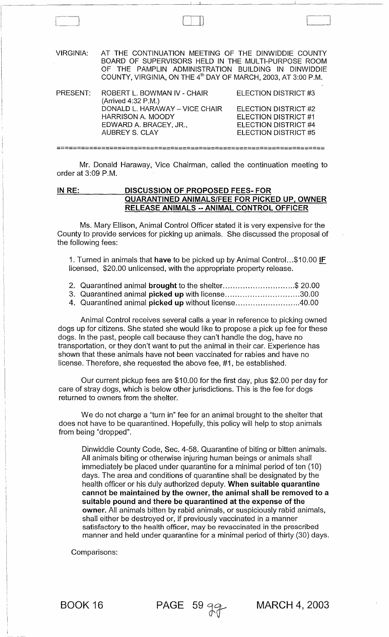| VIRGINIA: | AT THE CONTINUATION MEETING OF THE DINWIDDIE COUNTY<br>BOARD OF SUPERVISORS HELD IN THE MULTI-PURPOSE ROOM<br>OF THE PAMPLIN ADMINISTRATION BUILDING IN DINWIDDIE<br>COUNTY, VIRGINIA, ON THE 4 <sup>th</sup> DAY OF MARCH, 2003, AT 3:00 P.M. |                             |
|-----------|------------------------------------------------------------------------------------------------------------------------------------------------------------------------------------------------------------------------------------------------|-----------------------------|
| PRESENT:  | ROBERT L. BOWMAN IV - CHAIR<br>(Arrived 4:32 P.M.)                                                                                                                                                                                             | ELECTION DISTRICT #3        |
|           | DONALD L. HARAWAY - VICE CHAIR                                                                                                                                                                                                                 | <b>ELECTION DISTRICT #2</b> |
|           | <b>HARRISON A. MOODY</b>                                                                                                                                                                                                                       | ELECTION DISTRICT #1        |
|           | EDWARD A. BRACEY, JR.,                                                                                                                                                                                                                         | ELECTION DISTRICT #4        |
|           | <b>AUBREY S. CLAY</b>                                                                                                                                                                                                                          | ELECTION DISTRICT #5        |

Mr. Donald Haraway, Vice Chairman, called the continuation meeting to order at 3:09 P.M.

==================================================================

# IN RE: DISCUSSION OF PROPOSED FEES- FOR QUARANTINED ANIMALS/FEE FOR PICKED UP, OWNER RELEASE ANIMALS -- ANIMAL CONTROL OFFICER

Ms. Mary Ellison, Animal Control Officer stated it is very expensive for the County to provide services for picking up animals. She discussed the proposal of the following fees:

1. Turned in animals that have to be picked up by Animal Control...\$10.00 IF licensed, \$20.00 unlicensed, with the appropriate property release.

- 2. Quarantined animal brought to the shelter..............................\$ 20.00
- 3. Quarantined animal picked up with license................................30.00
- 4. Quarantined animal picked up without license ......................... *040.00*

Animal Control receives several calls a year in reference to picking owned dogs up for citizens. She stated she would like to propose a pick up fee for these dogs. In the past, people call because they can't handle the dog, have no transportation, or they don't want to put the animal in their car. Experience has shown that these animals have not been vaccinated for rabies and have no license. Therefore, she requested the above fee, #1, be established.

Our current pickup fees are \$10.00 for the first day, plus \$2.00 per day for care of stray dogs, which is below other jurisdictions. This is the fee for dogs returned to owners from the shelter.

We do not charge a "turn in" fee for an animal brought to the shelter that does not have to be quarantined. Hopefully, this policy will help to stop animals from being "dropped".

Dinwiddie County Code, Sec. 4-58. Quarantine of biting or bitten animals. All animals biting or otherwise injuring human beings or animals shall immediately be placed under quarantine for a minimal period of ten (10) days. The area and conditions of quarantine shall be designated by the health officer or his duly authorized deputy. When suitable quarantine cannot be maintained by the owner, the animal shall be removed to a suitable pound and there be quarantined at the expense of the owner. All animals bitten by rabid animals, or suspiciously rabid animals, shall either be destroyed or, if previously vaccinated in a manner satisfactory to the health officer, may be revaccinated in the prescribed manner and held under quarantine for a minimal period of thirty (30) days.

Comparisons:

BOOK 16 PAGE 59  $9.9$  MARCH 4, 2003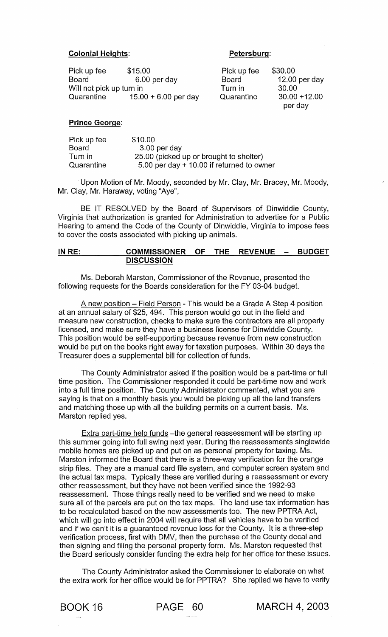#### Colonial Heights: Petersburg:

Pick up fee  $$15.00$ <br>Board 6.00 per day Board Board 6.00 per day Will not pick up turn in<br>Quarantine 15.0  $15.00 + 6.00$  per day

**Board** Turn in Quarantine \$30.00 12.00 per day 30.00 30.00 +12.00 per day

## Prince George:

| Pick up fee | \$10.00                                     |
|-------------|---------------------------------------------|
| Board       | $3.00$ per day                              |
| Turn in     | 25.00 (picked up or brought to shelter)     |
| Quarantine  | 5.00 per day $+$ 10.00 if returned to owner |

Upon Motion of Mr. Moody, seconded by Mr. Clay, Mr. Bracey, Mr. Moody, Mr. Clay, Mr. Haraway, voting "Aye",

BE IT RESOLVED by the Board of Supervisors of Dinwiddie County, Virginia that authorization is granted for Administration to advertise for a Public Hearing to amend the Code of the County of Dinwiddie, Virginia to impose fees to cover the costs associated with picking up animals.

## IN RE: COMMISSIONER OF THE REVENUE - BUDGET **DISCUSSION**

Ms. Deborah Marston, Commissioner of the Revenue, presented the following requests for the Boards consideration for the FY 03-04 budget.

A new position – Field Person - This would be a Grade A Step 4 position at an annual salary of \$25, 494. This person would go out in the field and measure new construction, checks to make sure the contractors are all properly licensed, and make sure they have a business license for Dinwiddie County. This position would be self-supporting because revenue from new construction would be put on the books right away for taxation purposes. Within 30 days the Treasurer does a supplemental bill for collection of funds.

The County Administrator asked if the position would be a part-time or full time position. The Commissioner responded it could be part-time now and work into a full time position. The County Administrator commented, what you are saying is that on a monthly basis you would be picking up all the land transfers and matching those up with all the building permits on a current basis. Ms. Marston replied yes.

Extra part-time help funds -the general reassessment will be starting up this summer going into full swing next year. During the reassessments singlewide mobile homes are picked up and put on as personal property for taxing. Ms. Marston informed the Board that there is a three-way verification for the orange strip files. They are a manual card file system, and computer screen system and the actual tax maps. Typically these are verified during a reassessment or every other reassessment, but they have not been verified since the 1992-93 reassessment. Those things really need to be verified and we need to make sure all of the parcels are put on the tax maps. The land use tax information has to be recalculated based on the new assessments too. The new PPTRA Act, which will go into effect in 2004 will require that all vehicles have to be verified and if we can't it is a guaranteed revenue loss for the County. It is a three-step verification process, first with DMV, then the purchase of the County decal and then signing and filing the personal property form. Ms. Marston requested that the Board seriously consider funding the extra help for her office for these issues.

The County Administrator asked the Commissioner to elaborate on what the extra work for her office would be for PPTRA? She replied we have to verify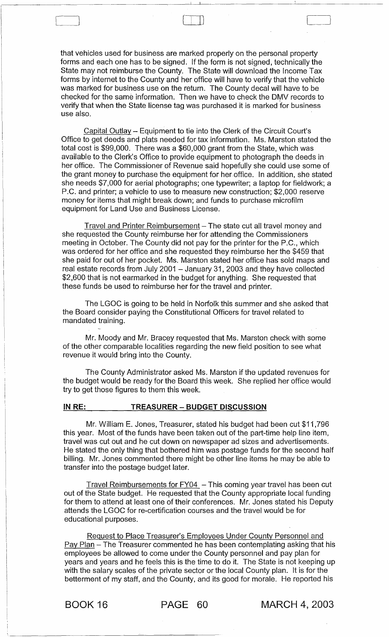that vehicles used for business are marked properly on the personal property forms and each one has to be signed. If the form is not signed, technically the State may not reimburse the County. The State will download the Income Tax forms by internet to the County and her office will have to verify that the vehicle was marked for business use on the return. The County decal will have to be checked for the same information. Then we have to check the DMV records to verify that when the State license tag was purchased it is marked for business use also.

 $\begin{picture}(20,20) \put(0,0){\line(1,0){10}} \put(15,0){\line(1,0){10}} \put(15,0){\line(1,0){10}} \put(15,0){\line(1,0){10}} \put(15,0){\line(1,0){10}} \put(15,0){\line(1,0){10}} \put(15,0){\line(1,0){10}} \put(15,0){\line(1,0){10}} \put(15,0){\line(1,0){10}} \put(15,0){\line(1,0){10}} \put(15,0){\line(1,0){10}} \put(15,0){\line(1$ 

Capital Outlay - Equipment to tie into the Clerk of the Circuit Court's Office to get deeds and plats needed for tax information. Ms. Marston stated the total cost is \$99,000. There was a \$60,000 grant from the State, which was available to the Clerk's Office to provide equipment to photograph the deeds in her office. The Commissioner of Revenue said hopefully she could use some of the grant money to purchase the equipment for her office. In addition, she stated she needs \$7,000 for aerial photographs; one typewriter; a laptop for fieldwork; a P.C. and printer; a vehicle to use to measure new construction; \$2,000 reserve money for items that might break down; and funds to purchase microfilm equipment for Land Use and Business License.

Travel and Printer Reimbursement - The state cut all travel money and she requested the County reimburse her for attending the Commissioners meeting in October. The County did not pay for the printer for the P.C., which was ordered for her office and she requested they reimburse her the \$459 that she paid for out of her pocket. Ms. Marston stated her office has sold maps and real estate records from July 2001 - January 31, 2003 and they have collected \$2,600 that is not earmarked in the budget for anything. She requested that these funds be used to reimburse her for the travel and printer.

The LGOC is going to be held in Norfolk this summer and she asked that the Board consider paying the Constitutional Officers for travel related to mandated training.

Mr. Moody and Mr. Bracey requested that Ms. Marston check with some of the other comparable localities regarding the new field position to see what revenue it would bring into the County.

The County Administrator asked Ms. Marston if the updated revenues for the budget would be ready for the Board this week. She replied her office would try to get those figures to them this week.

#### **IN** RE: **TREASURER - BUDGET DISCUSSION**

Mr. William E. Jones, Treasurer, stated his budget had been cut \$11,796 this year. Most of the funds have been taken out of the part-time help line item, travel was cut out and he cut down on newspaper ad sizes and advertisements. He stated the only thing that bothered him was postage funds for the second half billing. Mr. Jones commented there might be other line items he may be able to transfer into the postage budget later.

Travel Reimbursements for  $FY04$  – This coming year travel has been cut out of the State budget. He requested that the County appropriate local funding for them to attend at least one of their conferences. Mr. Jones stated his Deputy attends the LGOC for re-certification courses and the travel would be for educational purposes.

Request to Place Treasurer's Employees Under County Personnel and Pay Plan - The Treasurer commented he has been contemplating asking that his employees be allowed to come under the County personnel and pay plan for years and years and he feels this is the time to do it. The State is not keeping up with the salary scales of the private sector or the local County plan. It is for the betterment of my staff, and the County, and its good for morale. He reported his

BOOK 16 PAGE 60 MARCH 4, 2003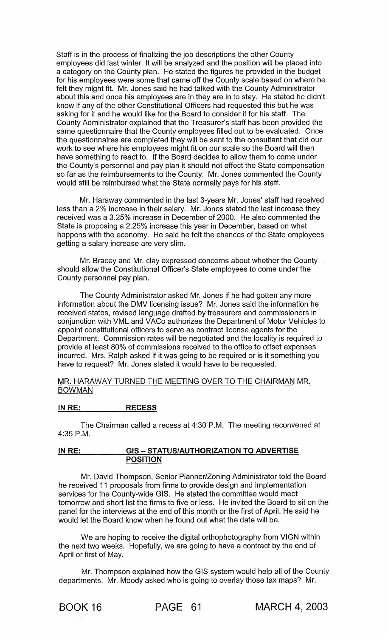Staff is in the process of finalizing the job descriptions the other County employees did last winter. It will be analyzed and the position will be placed into a category on the County plan. He stated the figures he provided in the budget for his employees were some that came off the County scale based on where he felt they might fit. Mr. Jones said he had talked with the County Administrator about this and once his employees are in they are in to stay. He stated he didn't know if any of the other Constitutional Officers had requested this but he was asking for it and he would like for the Board to consider it for his staff. The County Administrator explained that the Treasurer's staff has been provided the same questionnaire that the County employees filled out to be evaluated. Once the questionnaires are completed they will be sent to the consultant that did our work to see where his employees might fit on our scale so the Board will then have something to react to. If the Board decides to allow them to come under the County's personnel and pay plan it should not effect the State compensation so far as the reimbursements to the County. Mr. Jones commented the County would still be reimbursed what the State normally pays for his staff.

Mr. Haraway commented in the last 3-years Mr. Jones' staff had received less than a 2% increase in their salary. Mr. Jones stated the last increase they received was a 3.25% increase in December of 2000. He also commented the State is proposing a 2.25% increase this year in December, based on what happens with the economy. He said he felt the chances of the State employees getting a salary increase are very slim.

Mr. Bracey and Mr. clay expressed concerns about whether the County should allow the Constitutional Officer's State employees to come under the County personnel pay plan.

The County Administrator asked Mr. Jones if he had gotten any more information about the DMV licensing issue? Mr. Jones said the information he received states, revised language drafted by treasurers and commissioners in conjunction with VML and VACo authorizes the Department of Motor Vehicles to appoint constitutional officers to serve as contract license agents for the Department. Commission rates will be negotiated and the locality is required to provide at least 80% of commissions received to the office to offset expenses incurred. Mrs. Ralph asked if it was going to be required or is it something you have to request? Mr. Jones stated it would have to be requested.

#### MR. HARAWAY TURNED THE MEETING OVER TO THE CHAIRMAN MR. BOWMAN

## **IN RE: RECESS**

The Chairman called a recess at 4:30 P.M. The meeting reconvened at 4:35 P.M.

#### **IN RE: GIS - STATUS/AUTHORIZATION TO ADVERTISE POSITION**

Mr. David Thompson, Senior Planner/Zoning Administrator told the Board he received 11 proposals from firms to provide design and implementation services for the County-wide GIS. He stated the committee would meet tomorrow and short list the firms to five or less. He invited the Board to sit on the panel for the interviews at the end of this month or the first of April. He said he would let the Board know when he found out what the date will be.

We are hoping to receive the digital orthophotography from VIGN within the next two weeks. Hopefully, we are going to have a contract by the end of April or first of May.

Mr. Thompson explained how the GIS system would help all of the County departments. Mr. Moody asked who is going to overlay those tax maps? Mr.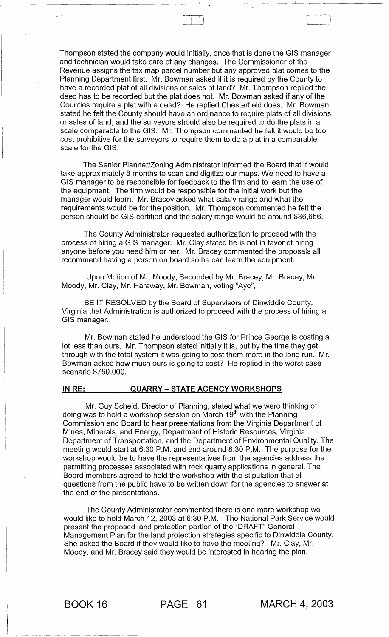Thompson stated the company would initially, once that is done the GIS manager and technician would take care of any changes. The Commissioner of the Revenue assigns the tax map parcel number but any approved plat comes to the Planning Department first. Mr. Bowman asked if it is required by the County to have a recorded plat of all divisions or sales of land? Mr. Thompson replied the deed has to be recorded but the plat does not. Mr. Bowman asked if any of the Counties require a plat with a deed? He replied Chesterfield does. Mr. Bowman stated he felt the County should have an ordinance to require plats of all divisions or sales of land; and the surveyors should also be required to do the plats in a scale comparable to the GIS. Mr. Thompson commented he felt it would be too cost prohibitive for the surveyors to require them to do a plat in a comparable scale for the GIS.

 $\begin{pmatrix} 1 & 1 & 1 \\ 1 & 1 & 1 \\ 1 & 1 & 1 \end{pmatrix}$ 

The Senior Planner/Zoning Administrator informed the Board that it would take approximately 8 months to scan and digitize our maps. We need to have a GIS manager to be responsible for feedback to the firm and to learn the use of the equipment. The firm would be responsible for the initial work but the manager would learn. Mr. Bracey asked what salary range and what the requirements would be for the position. Mr. Thompson commented he felt the person should be GIS certified and the salary range would be around \$36,656.

The County Administrator requested authorization to proceed with the process of hiring a GIS manager. Mr. Clay stated he is not in favor of hiring anyone before you need him or her. Mr. Bracey commented the proposals all recommend having a person on board so he can learn the equipment.

Upon Motion of Mr. Moody, Seconded by Mr. Bracey, Mr. Bracey, Mr. Moody, Mr. Clay, Mr. Haraway, Mr. Bowman, voting "Aye",

BE IT RESOLVED by the Board of Supervisors of Dinwiddie County, Virginia that Administration is authorized to proceed with the process of hiring a GIS manager.

Mr. Bowman stated he understood the GIS for Prince George is costing a lot less than ours. Mr. Thompson stated initially it is, but by the time they get through with the total system it was going to cost them more in the long run. Mr. Bowman asked how much ours is going to cost? He replied in the worst-case scenario \$750,000.

#### IN RE: QUARRY - STATE AGENCY WORKSHOPS

Mr. Guy Scheid, Director of Planning, stated what we were thinking of doing was to hold a workshop session on March  $19<sup>th</sup>$  with the Planning Commission and Board to hear presentations from the Virginia Department of Mines, Minerals, and Energy, Department of Historic Resources, Virginia Department of Transportation, and the Department of Environmental Quality. The meeting would start at 6:30 P.M. and end around 8:30 P.M. The purpose for the workshop would be to have the representatives from the agencies address the permitting processes associated with rock quarry applications in general. The Board members agreed to hold the workshop with the stipulation that all questions from the public have to be written down for the agencies to answer at the end of the presentations.

The County Administrator commented there is one more workshop we would like to hold March 12, 2003 at 6:30 P.M. The National Park Service would present the proposed land protection portion of the "DRAFT" General Management Plan for the land protection strategies specific to Dinwiddie County. She asked the Board if they would like to have the meeting? Mr. Clay, Mr. Moody, and Mr. Bracey said they would be interested in hearing the plan.

BOOK 16 PAGE 61 MARCH 4, 2003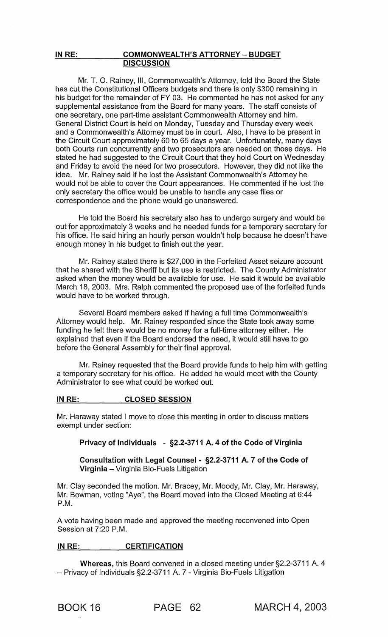#### IN RE: COMMONWEALTH'S ATTORNEY - BUDGET **DISCUSSION**

Mr. T. O. Rainey, III, Commonwealth's Attorney, told the Board the State has cut the Constitutional Officers budgets and there is only \$300 remaining in his budget for the remainder of FY 03. He commented he has not asked for any supplemental assistance from the Board for many years. The staff consists of one secretary, one part-time assistant Commonwealth Attorney and him. General District Court is held on Monday, Tuesday and Thursday every week and a Commonwealth's Attorney must be in court. Also, I have to be present in the Circuit Court approximately 60 to 65 days a year. Unfortunately, many days both Courts run concurrently and two prosecutors are needed on those days. He stated he had suggested to the Circuit Court that they hold Court on Wednesday and Friday to avoid the need for two prosecutors. However, they did not like the idea. Mr. Rainey said if he lost the Assistant Commonwealth's Attorney he would not be able to cover the Court appearances. He commented if he lost the only secretary the office would be unable to handle any case files or correspondence and the phone would go unanswered.

He told the Board his secretary also has to undergo surgery and would be out for approximately 3 weeks and he needed funds for a temporary secretary for his office. He said hiring an hourly person wouldn't help because he doesn't have enough money in his budget to finish out the year.

Mr. Rainey stated there is \$27,000 in the Forfeited Asset seizure account that he shared with the Sheriff but its use is restricted. The County Administrator asked when the money would be available for use. He said it would be available March 18, 2003. Mrs. Ralph commented the proposed use of the forfeited funds would have to be worked through.

Several Board members asked if having a full time Commonwealth's Attorney would help. Mr. Rainey responded since the State took away some funding he felt there would be no money for a full-time attorney either. He explained that even if the Board endorsed the need, it would still have to go before the General Assembly for their final approval.

Mr. Rainey requested that the Board provide funds to help him with getting a temporary secretary for his office. He added he would meet with the County Administrator to see what could be worked out.

## IN RE: CLOSED SESSION

Mr. Haraway stated I move to close this meeting in order to discuss matters exempt under section:

## Privacy of Individuals - §2.2-3711 A. 4 of the Code of Virginia

Consultation with Legal Counsel - §2.2-3711 A. 7 of the Code of Virginia - Virginia Bio-Fuels Litigation

Mr. Clay seconded the motion. Mr. Bracey, Mr. Moody, Mr. Clay, Mr. Haraway, Mr. Bowman, voting "Aye", the Board moved into the Closed Meeting at 6:44 P.M.

A vote having been made and approved the meeting reconvened into Open Session at 7:20 P.M.

## IN RE: CERTIFICATION

Whereas, this Board convened in a closed meeting under §2.2-3711 A. 4 - Privacy of Individuals §2.2-3711 A. 7 - Virginia Bio-Fuels Litigation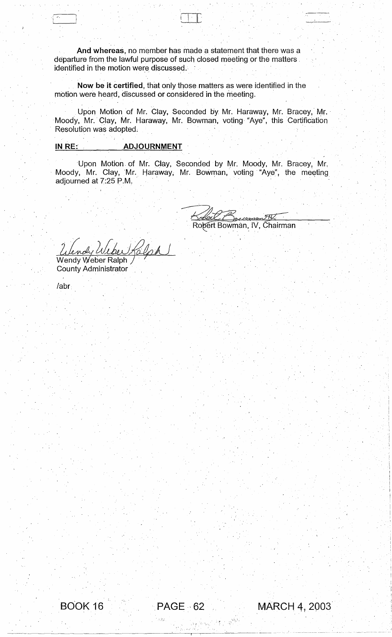And whereas, no member has made a statement that there was a departure from the lawful purpose of such closed meeting or the matters. identified in the motion were discussed. .

Now be it certified, that only those matters as were identified in the motion were heard, discussed or considered in the meeting. .

Upon Motion of Mr. Clay, Seconded by Mr. Haraway, Mr. Bracey, Mr. Moody, Mr. Clay, Mr. Haraway, Mr. Bowman, voting "Aye", this Certification Resolution was adopted.

# IN RE: ADJOURNMENT

 $\overline{\mathbb{C}}$  . It is the set of  $\overline{\mathbb{C}}$ 

·Upon Motion. of Mr. Clay, Seconded by Mr. Moody, Mr. Bracey, Mr. Moody, Mr. Clay, Mr. Haraway, Mr. Bowman, voting "Aye", the meeting adjourned at 7:25 P.M.

اکیمورون Robert Bowman, IV, Chairman

Wendy Weber Ralph **County Administrator** 

/abr.

 $\sim\!$  i ,